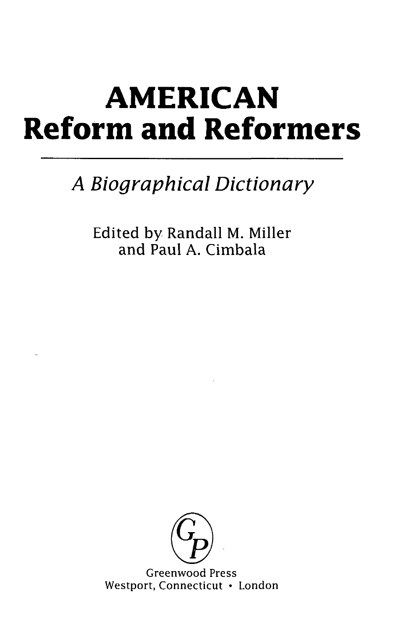## **AMERICAN Reform and Reformers**

## *A Biographical Dictionary*

Edited by Randall M. Miller and Paul A. Cimbala



Greenwood Press Westport, Connecticut • London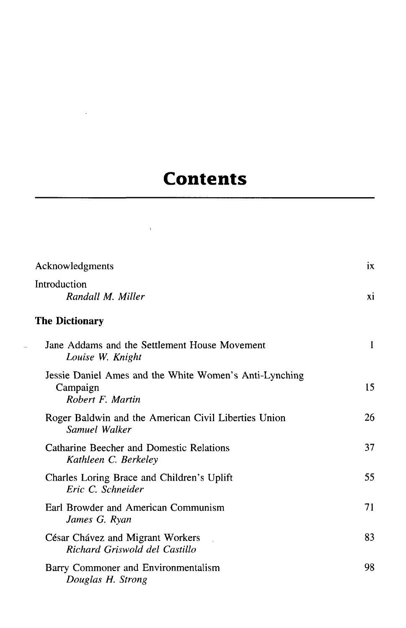## **Contents**

 $\mathcal{L}^{\text{max}}_{\text{max}}$ 

 $\label{eq:2.1} \frac{1}{2} \int_{\mathbb{R}^3} \frac{1}{\sqrt{2}} \, \frac{1}{\sqrt{2}} \, \frac{1}{\sqrt{2}} \, \frac{1}{\sqrt{2}} \, \frac{1}{\sqrt{2}} \, \frac{1}{\sqrt{2}} \, \frac{1}{\sqrt{2}} \, \frac{1}{\sqrt{2}} \, \frac{1}{\sqrt{2}} \, \frac{1}{\sqrt{2}} \, \frac{1}{\sqrt{2}} \, \frac{1}{\sqrt{2}} \, \frac{1}{\sqrt{2}} \, \frac{1}{\sqrt{2}} \, \frac{1}{\sqrt{2}} \, \frac{1}{\sqrt{2}} \,$ 

 $\mathbb{L}$ 

| Acknowledgments                                                                        |              |
|----------------------------------------------------------------------------------------|--------------|
| Introduction<br>Randall M. Miller                                                      | xi           |
| <b>The Dictionary</b>                                                                  |              |
| Jane Addams and the Settlement House Movement<br>Louise W. Knight                      | $\mathbf{1}$ |
| Jessie Daniel Ames and the White Women's Anti-Lynching<br>Campaign<br>Robert F. Martin | 15           |
| Roger Baldwin and the American Civil Liberties Union<br>Samuel Walker                  | 26           |
| Catharine Beecher and Domestic Relations<br>Kathleen C. Berkeley                       | 37           |
| Charles Loring Brace and Children's Uplift<br>Eric C. Schneider                        | 55           |
| Earl Browder and American Communism<br>James G. Ryan                                   | 71           |
| César Chávez and Migrant Workers<br>Richard Griswold del Castillo                      | 83           |
| Barry Commoner and Environmentalism<br>Douglas H. Strong                               | 98           |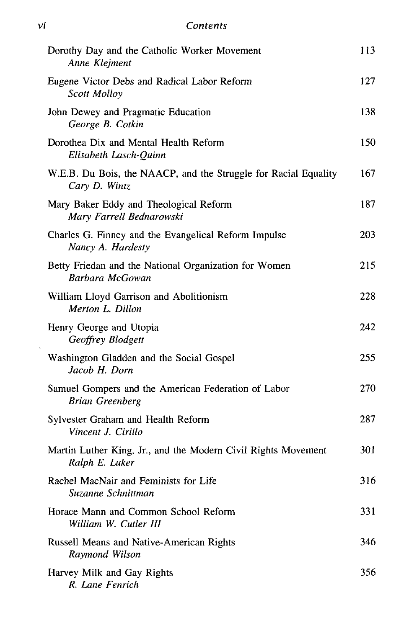| Dorothy Day and the Catholic Worker Movement<br>Anne Klejment                    | 113 |
|----------------------------------------------------------------------------------|-----|
| Eugene Victor Debs and Radical Labor Reform<br>Scott Molloy                      | 127 |
| John Dewey and Pragmatic Education<br>George B. Cotkin                           | 138 |
| Dorothea Dix and Mental Health Reform<br>Elisabeth Lasch-Quinn                   | 150 |
| W.E.B. Du Bois, the NAACP, and the Struggle for Racial Equality<br>Cary D. Wintz | 167 |
| Mary Baker Eddy and Theological Reform<br>Mary Farrell Bednarowski               | 187 |
| Charles G. Finney and the Evangelical Reform Impulse<br>Nancy A. Hardesty        | 203 |
| Betty Friedan and the National Organization for Women<br>Barbara McGowan         | 215 |
| William Lloyd Garrison and Abolitionism<br>Merton L. Dillon                      | 228 |
| Henry George and Utopia<br>Geoffrey Blodgett                                     | 242 |
| Washington Gladden and the Social Gospel<br>Jacob H. Dorn                        | 255 |
| Samuel Gompers and the American Federation of Labor<br><b>Brian Greenberg</b>    | 270 |
| Sylvester Graham and Health Reform<br>Vincent J. Cirillo                         | 287 |
| Martin Luther King, Jr., and the Modern Civil Rights Movement<br>Ralph E. Luker  | 301 |
| Rachel MacNair and Feminists for Life<br>Suzanne Schnittman                      | 316 |
| Horace Mann and Common School Reform<br>William W. Cutler III                    | 331 |
| Russell Means and Native-American Rights<br>Raymond Wilson                       | 346 |
| Harvey Milk and Gay Rights<br>R. Lane Fenrich                                    | 356 |